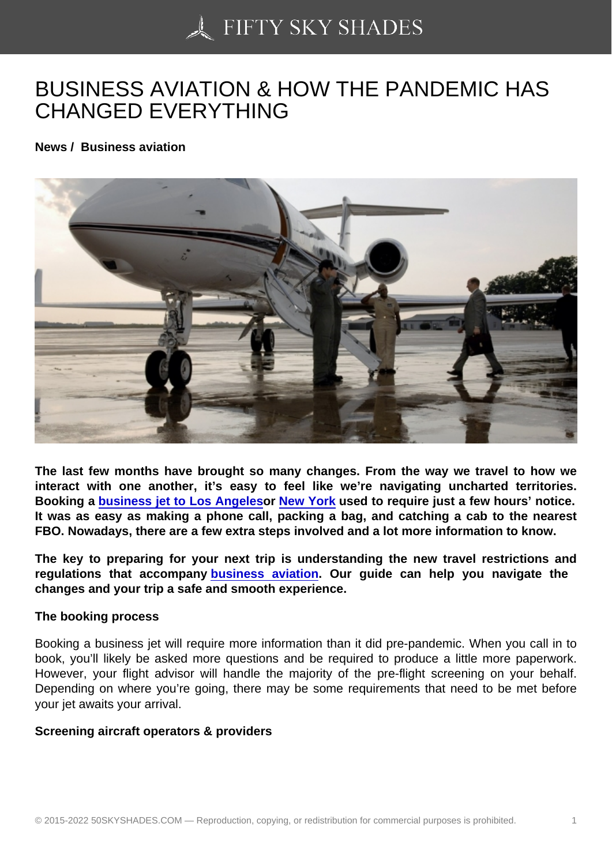## [BUSINESS AVIATION](https://50skyshades.com) & HOW THE PANDEMIC HAS CHANGED EVERYTHING

News / Business aviation

The last few months have brought so many changes. From the way we travel to how we interact with one another, it's easy to feel like we're navigating uncharted territories. Booking a business jet to Los Angeles or New York used to require just a few hours' notice. It was as easy as making a phone call, packing a bag, and catching a cab to the nearest FBO. Nowadays, there are a few extra steps involved and a lot more information to know.

The key to [preparing for your next trip](https://www.stratosjets.com/jet-charter-flights/van-nuys-california/) is [understand](https://www.stratosjets.com/jet-charter-flights/new-york-city/)ing the new travel restrictions and regulations that accompany business aviation . Our guide can help you navigate the changes and your trip a safe and smooth experience.

The booking process

Booking a business jet will require more information than it did pre-pandemic. When you call in to book, you'll likely be asked more questions and be required to produce a little more paperwork. However, your flight advisor will handle the majority of the pre-flight screening on your behalf. Depending on where you're going, there may be some requirements that need to be met before your jet awaits your arrival.

Screening aircraft operators & providers